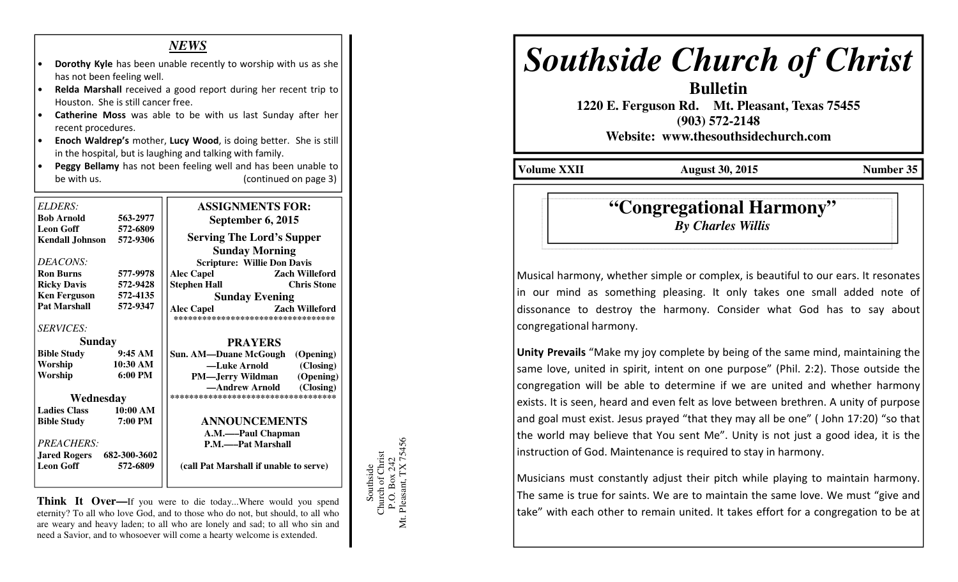### *NEWS*

- Dorothy Kyle has been unable recently to worship with us as she has not been feeling well.
- Relda Marshall received a good report during her recent trip to Houston. She is still cancer free.
- Catherine Moss was able to be with us last Sunday after her recent procedures.
- Enoch Waldrep's mother, Lucy Wood, is doing better. She is still in the hospital, but is laughing and talking with family.
- Peggy Bellamy has not been feeling well and has been unable to be with us.(continued on page 3)

| ELDERS:                          |                   | <b>ASSIGNMENTS FOR:</b>                    |
|----------------------------------|-------------------|--------------------------------------------|
| <b>Bob Arnold</b>                | 563-2977          | September 6, 2015                          |
| <b>Leon Goff</b>                 | 572-6809          |                                            |
| <b>Kendall Johnson</b>           | 572-9306          | <b>Serving The Lord's Supper</b>           |
|                                  |                   | <b>Sunday Morning</b>                      |
| DEACONS:                         |                   | <b>Scripture: Willie Don Davis</b>         |
| <b>Ron Burns</b>                 | 577-9978          | <b>Alec Capel</b><br>Zach Willeford        |
| <b>Ricky Davis</b>               | 572-9428          | <b>Stephen Hall</b><br><b>Chris Stone</b>  |
| <b>Ken Ferguson</b>              | 572-4135          | <b>Sunday Evening</b>                      |
| <b>Pat Marshall</b>              | 572-9347          | <b>Zach Willeford</b><br><b>Alec Capel</b> |
|                                  |                   | **********************************         |
| <b>SERVICES:</b>                 |                   |                                            |
| Sunday                           |                   | <b>PRAYERS</b>                             |
| <b>Bible Study</b>               | 9:45AM            | Sun. AM—Duane McGough (Opening)            |
| Worship                          | 10:30 AM          | -Luke Arnold (Closing)                     |
| Worship                          | $6:00 \text{ PM}$ | (Opening)<br><b>PM—Jerry Wildman</b>       |
|                                  |                   | -Andrew Arnold<br>(Closing)                |
| Wednesday                        |                   | ***********************************        |
| <b>Ladies Class</b>              | 10:00 AM          |                                            |
| <b>Bible Study</b>               | 7:00 PM           | <b>ANNOUNCEMENTS</b>                       |
|                                  |                   | A.M.——Paul Chapman                         |
| <b>PREACHERS:</b>                |                   | P.M.——Pat Marshall                         |
| <b>Jared Rogers</b> 682-300-3602 |                   |                                            |
| <b>Leon Goff</b>                 | 572-6809          | (call Pat Marshall if unable to serve)     |
|                                  |                   |                                            |
|                                  |                   |                                            |

**Think It Over—**If you were to die today...Where would you spend eternity? To all who love God, and to those who do not, but should, to all who are weary and heavy laden; to all who are lonely and sad; to all who sin and need a Savior, and to whosoever will come a hearty welcome is extended.



# *Southside Church of Christ*

 **1220 E. Ferguson Rd. Mt. Pleasant, Texas 75455 (903) 572-2148** 

**Bulletin** 

**Website: www.thesouthsidechurch.com** 

**Volume XXII August 30, 2015 Number 35** 

## **"Congregational Harmony"***By Charles Willis*

Musical harmony, whether simple or complex, is beautiful to our ears. It resonates in our mind as something pleasing. It only takes one small added note of dissonance to destroy the harmony. Consider what God has to say about congregational harmony.

Unity Prevails "Make my joy complete by being of the same mind, maintaining the same love, united in spirit, intent on one purpose" (Phil. 2:2). Those outside the congregation will be able to determine if we are united and whether harmony exists. It is seen, heard and even felt as love between brethren. A unity of purpose and goal must exist. Jesus prayed "that they may all be one" ( John 17:20) "so that the world may believe that You sent Me". Unity is not just a good idea, it is the instruction of God. Maintenance is required to stay in harmony.

Musicians must constantly adjust their pitch while playing to maintain harmony. The same is true for saints. We are to maintain the same love. We must "give and take" with each other to remain united. It takes effort for a congregation to be at